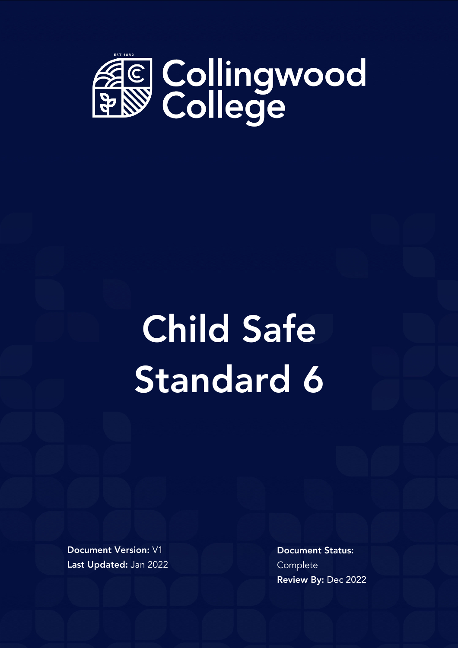

## Child Safe Standard 6

Document Version: V1 Last Updated: Jan 2022 Document Status: **Complete** Review By: Dec 2022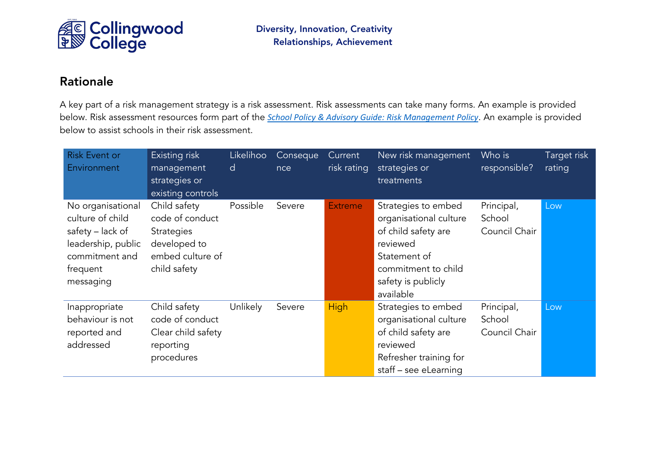

## Rationale

A key part of a risk management strategy is a risk assessment. Risk assessments can take many forms. An example is provided below. Risk assessment resources form part of the *[School Policy & Advisory Guide: Risk Management Policy](http://www.education.vic.gov.au/school/principals/spag/governance/pages/risk.aspx)*. An example is provided below to assist schools in their risk assessment.

| <b>Risk Event or</b><br>Environment                                                                                        | Existing risk<br>management<br>strategies or<br>existing controls                                        | Likelihoo<br>d | Conseque<br>nce | Current,<br>risk rating | New risk management<br>strategies or<br>treatments                                                                                                         | Who is<br>responsible?                | Target risk<br>rating |
|----------------------------------------------------------------------------------------------------------------------------|----------------------------------------------------------------------------------------------------------|----------------|-----------------|-------------------------|------------------------------------------------------------------------------------------------------------------------------------------------------------|---------------------------------------|-----------------------|
| No organisational<br>culture of child<br>safety - lack of<br>leadership, public<br>commitment and<br>frequent<br>messaging | Child safety<br>code of conduct<br><b>Strategies</b><br>developed to<br>embed culture of<br>child safety | Possible       | Severe          | <b>Extreme</b>          | Strategies to embed<br>organisational culture<br>of child safety are<br>reviewed<br>Statement of<br>commitment to child<br>safety is publicly<br>available | Principal,<br>School<br>Council Chair | Low                   |
| Inappropriate<br>behaviour is not<br>reported and<br>addressed                                                             | Child safety<br>code of conduct<br>Clear child safety<br>reporting<br>procedures                         | Unlikely       | Severe          | <b>High</b>             | Strategies to embed<br>organisational culture<br>of child safety are<br>reviewed<br>Refresher training for<br>staff – see eLearning                        | Principal,<br>School<br>Council Chair | Low                   |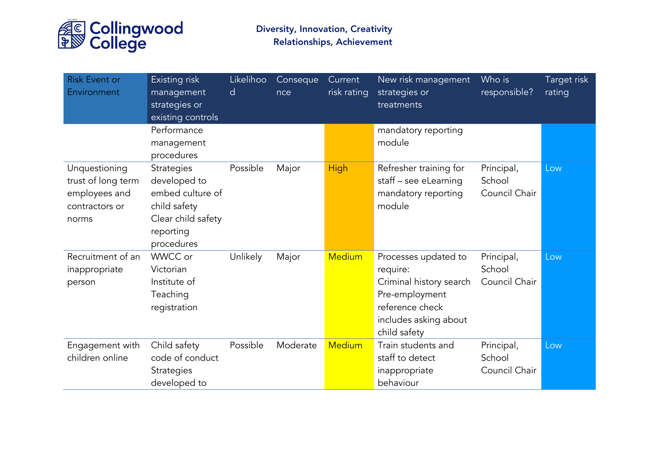

| <b>Risk Event or</b><br>Environment                                             | Existing risk<br>management<br>strategies or<br>existing controls                                                      | Likelihoo<br>d | Conseque<br>nce | Current<br>risk rating | New risk management<br>strategies or<br>treatments                                                                                        | Who is<br>responsible?                | Target risk<br>rating |
|---------------------------------------------------------------------------------|------------------------------------------------------------------------------------------------------------------------|----------------|-----------------|------------------------|-------------------------------------------------------------------------------------------------------------------------------------------|---------------------------------------|-----------------------|
|                                                                                 | Performance<br>management<br>procedures                                                                                |                |                 |                        | mandatory reporting<br>module                                                                                                             |                                       |                       |
| Unquestioning<br>trust of long term<br>employees and<br>contractors or<br>norms | <b>Strategies</b><br>developed to<br>embed culture of<br>child safety<br>Clear child safety<br>reporting<br>procedures | Possible       | Major           | <b>High</b>            | Refresher training for<br>staff - see eLearning<br>mandatory reporting<br>module                                                          | Principal,<br>School<br>Council Chair | Low                   |
| Recruitment of an<br>inappropriate<br>person                                    | WWCC or<br>Victorian<br>Institute of<br>Teaching<br>registration                                                       | Unlikely       | Major           | <b>Medium</b>          | Processes updated to<br>require:<br>Criminal history search<br>Pre-employment<br>reference check<br>includes asking about<br>child safety | Principal,<br>School<br>Council Chair | Low                   |
| Engagement with<br>children online                                              | Child safety<br>code of conduct<br><b>Strategies</b><br>developed to                                                   | Possible       | Moderate        | <b>Medium</b>          | Train students and<br>staff to detect<br>inappropriate<br>behaviour                                                                       | Principal,<br>School<br>Council Chair | Low                   |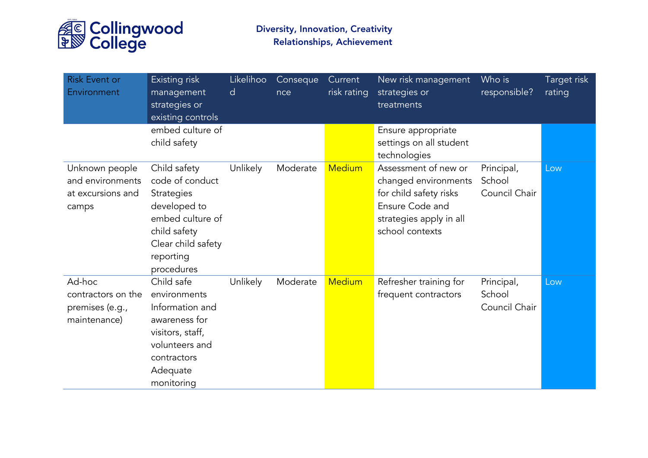

| <b>Risk Event or</b><br>Environment                              | Existing risk<br>management<br>strategies or<br>existing controls                                                                                         | Likelihoo<br>d | Conseque<br>nce | Current<br>risk rating | New risk management<br>strategies or<br>treatments                                                                                      | Who is<br>responsible?                | Target risk<br>rating |
|------------------------------------------------------------------|-----------------------------------------------------------------------------------------------------------------------------------------------------------|----------------|-----------------|------------------------|-----------------------------------------------------------------------------------------------------------------------------------------|---------------------------------------|-----------------------|
|                                                                  | embed culture of<br>child safety                                                                                                                          |                |                 |                        | Ensure appropriate<br>settings on all student<br>technologies                                                                           |                                       |                       |
| Unknown people<br>and environments<br>at excursions and<br>camps | Child safety<br>code of conduct<br><b>Strategies</b><br>developed to<br>embed culture of<br>child safety<br>Clear child safety<br>reporting<br>procedures | Unlikely       | Moderate        | <b>Medium</b>          | Assessment of new or<br>changed environments<br>for child safety risks<br>Ensure Code and<br>strategies apply in all<br>school contexts | Principal,<br>School<br>Council Chair | Low                   |
| Ad-hoc<br>contractors on the<br>premises (e.g.,<br>maintenance)  | Child safe<br>environments<br>Information and<br>awareness for<br>visitors, staff,<br>volunteers and<br>contractors<br>Adequate<br>monitoring             | Unlikely       | Moderate        | <b>Medium</b>          | Refresher training for<br>frequent contractors                                                                                          | Principal,<br>School<br>Council Chair | Low                   |